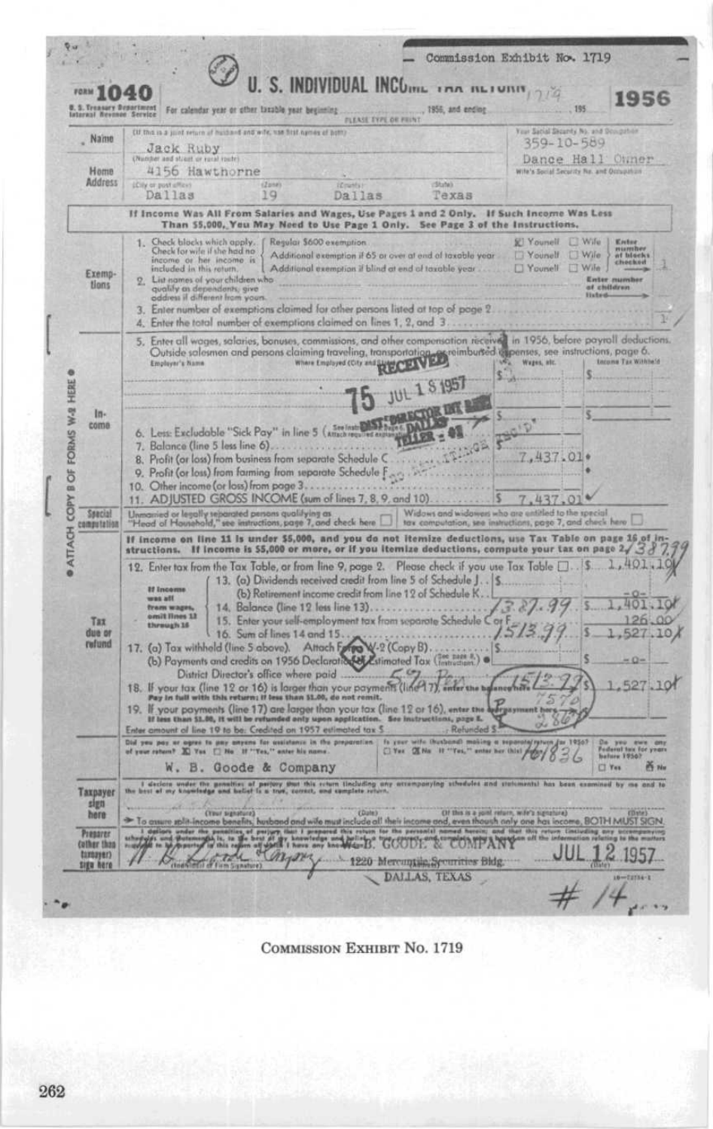| FORM                     | U. S. INDIVIDUAL INCOME INA ALIUMA, 27<br>5. Treasury Department For calendar year or other taxable year beginning<br>., 1956, and ending                                                                                                                                                                                                                                                                                                                                                                                                                                                                                                                                                                                                                                                                                                                                                                                                                                                                                                                                                                         | 1956<br>.195                                                                                                     |
|--------------------------|-------------------------------------------------------------------------------------------------------------------------------------------------------------------------------------------------------------------------------------------------------------------------------------------------------------------------------------------------------------------------------------------------------------------------------------------------------------------------------------------------------------------------------------------------------------------------------------------------------------------------------------------------------------------------------------------------------------------------------------------------------------------------------------------------------------------------------------------------------------------------------------------------------------------------------------------------------------------------------------------------------------------------------------------------------------------------------------------------------------------|------------------------------------------------------------------------------------------------------------------|
| - Name                   | <b>FLEASE EYPL OR PRINT</b><br>(if this is a juint veture of huidand and wife, was first names of bottly                                                                                                                                                                                                                                                                                                                                                                                                                                                                                                                                                                                                                                                                                                                                                                                                                                                                                                                                                                                                          | Your Satial Security No. and Sougahor<br>359-10-589                                                              |
|                          | <b>Jack Ruby</b><br>(Number and street or rocal roofe)                                                                                                                                                                                                                                                                                                                                                                                                                                                                                                                                                                                                                                                                                                                                                                                                                                                                                                                                                                                                                                                            | Dance Hall Owner                                                                                                 |
| Home<br><b>Address</b>   | 4156 Hawthorne<br>(State)<br>LCity or post office)<br>(2mn)<br><b>Crists</b>                                                                                                                                                                                                                                                                                                                                                                                                                                                                                                                                                                                                                                                                                                                                                                                                                                                                                                                                                                                                                                      | Wile's Social Security Nr. and Occupation                                                                        |
|                          | Dallas<br>19<br>Dallas<br>Texas<br>If Income Was All From Salaries and Wages, Use Pages 1 and 2 Only. If Such Income Was Less                                                                                                                                                                                                                                                                                                                                                                                                                                                                                                                                                                                                                                                                                                                                                                                                                                                                                                                                                                                     |                                                                                                                  |
|                          | Than 55,000, You May Noed to Use Page 1 Only. See Page 3 of the Instructions.<br>1. Check blocks which apply,<br>Regular \$600 exemption                                                                                                                                                                                                                                                                                                                                                                                                                                                                                                                                                                                                                                                                                                                                                                                                                                                                                                                                                                          | <b>El Younell</b><br><b>EL Wife</b><br><b>Kriter</b>                                                             |
| Exemp-<br>tions          | Check for wife if she had no<br>Additional exemption if 65 or over at end of taxable year<br>income or her income is<br>included in this roturn.<br>Additional exemption if blind at end of taxable year<br>List names of your children who<br>qualify as dependents, give<br>address if different from your<br>Enter number of exemptions claimed for other persons listed at top of page 2<br>4. Enter the total number of exemptions claimed on lines 1, 2, and 3                                                                                                                                                                                                                                                                                                                                                                                                                                                                                                                                                                                                                                              | mumber<br>af blucks<br>Younelf<br><b>UWile</b><br><b>Wife</b><br>Nounell<br><b>Enter</b> mumb<br>of children     |
|                          | 5. Enter all wages, salaries, bonuses, commissions, and other compensation received in 1956, before payroll deductions.<br>Outside salesmen and persons claiming traveling, transportation of experimburged expertises, see instructions, page 6.<br>Employer's hand the state of the Employer's Coty and the Control of the State of the State of Tax Wathi                                                                                                                                                                                                                                                                                                                                                                                                                                                                                                                                                                                                                                                                                                                                                      | Income Tax Withhold                                                                                              |
| $ln -$                   | <b>JUL 1 S 1957</b>                                                                                                                                                                                                                                                                                                                                                                                                                                                                                                                                                                                                                                                                                                                                                                                                                                                                                                                                                                                                                                                                                               |                                                                                                                  |
| come                     | See Instrument ST. DAL<br>6. Less: Excludable "Sick Pay" in line 5 (Attack<br>TELLER :<br>7. Balance (line 5 less line 6)<br>8. Profit (or loss) from business from separate Schedule C<br>9. Profit (or loss) from farming from separate Schedule Farge<br>10. Other income (or loss) from page 3.<br>11. ADJUSTED GROSS INCOME (sum of lines 7, 8, 9, and 10).                                                                                                                                                                                                                                                                                                                                                                                                                                                                                                                                                                                                                                                                                                                                                  | 7.437.01+<br>7.437                                                                                               |
| Ssecial<br>computation   | Unmanied or legally separated persons qualifying as<br>"Head of Hausehold," see instructions, page 7, and check here                                                                                                                                                                                                                                                                                                                                                                                                                                                                                                                                                                                                                                                                                                                                                                                                                                                                                                                                                                                              | Widows and widowers who are entitled to the special<br>tax computation, see instructions, page 7, and check here |
|                          | If income on line 11 is under \$5,000, and you do not itemize deductions, use Tax Table on page 16 of in-<br>structions. If income is \$5,000 or more, or if you itemize deductions, compute your tax on page $2\sqrt{\,3\,\beta}$                                                                                                                                                                                                                                                                                                                                                                                                                                                                                                                                                                                                                                                                                                                                                                                                                                                                                |                                                                                                                  |
| Tax<br>due or<br>rufund  | 12. Enter tax from the Tax Table, ar from line 9, page 2. Please check if you use Tax Table [ 5.<br>13. (a) Dividends received credit from line 5 of Schedule J. .   \$<br><b>If Income</b><br>(b) Retirement income credit from line 12 of Schedule K.<br>uss att<br>14. Balance (line 12 less line 13)<br>fram wages<br>omit lines 13<br>15. Enter your self-employment tax from separate Schedule C or F<br>through 16<br>16. Sum of lines 14 and 15<br>17. (a) Tax withheld (line 5 above). Attach Franz V-2 (Copy B).<br>(b) Payments and credits on 1956 Declaration (Maximated Tax (Tratecher).<br>$\mathcal{L}_{1}$<br>District Director's office where paid<br>18. If your tax (line 12 or 16) is larger than your payments (line 17), inter the unfance here<br>Pay in full with this return; if less than \$1.00, do not remit.<br>19. If your payments (line 17) are larger than your tax (line 12 or 16), enter the a<br>If less than \$1.00, it will be retunded only upon application. See instructions, page 8.<br>Enter amount of line 19 to be. Credited on 1957 estimated tax S.<br>Refunded S | 1,401,10<br>527.10/<br>× O∗                                                                                      |
|                          | Old you pay as agree to pay extreme for unilatence in the preparation. In your wife the besteamth moting a of your return. The 1877 rest in the first state in<br>W. B. Goode & Company                                                                                                                                                                                                                                                                                                                                                                                                                                                                                                                                                                                                                                                                                                                                                                                                                                                                                                                           | Da you awa<br>Federal tan for yi<br>hefure 1950?<br>getter her this<br><b>PS No</b><br>CI Yes                    |
| Taxpayer<br>sign<br>here | I declere under the genation of pertury that this return (including ony attemporying schedules and statements) has been examined by me and to<br>To gave able income benefits, busband and wife must include all their income and, even though only one has income, BOTH MUST SIGN                                                                                                                                                                                                                                                                                                                                                                                                                                                                                                                                                                                                                                                                                                                                                                                                                                | (if this is a yont return, wife's signature).                                                                    |
| <b>Pressrer</b>          | to the boy of the book of the control of the COODE<br><b>COMPAN</b>                                                                                                                                                                                                                                                                                                                                                                                                                                                                                                                                                                                                                                                                                                                                                                                                                                                                                                                                                                                                                                               |                                                                                                                  |

COMMISSION EXHIBIT No. 1719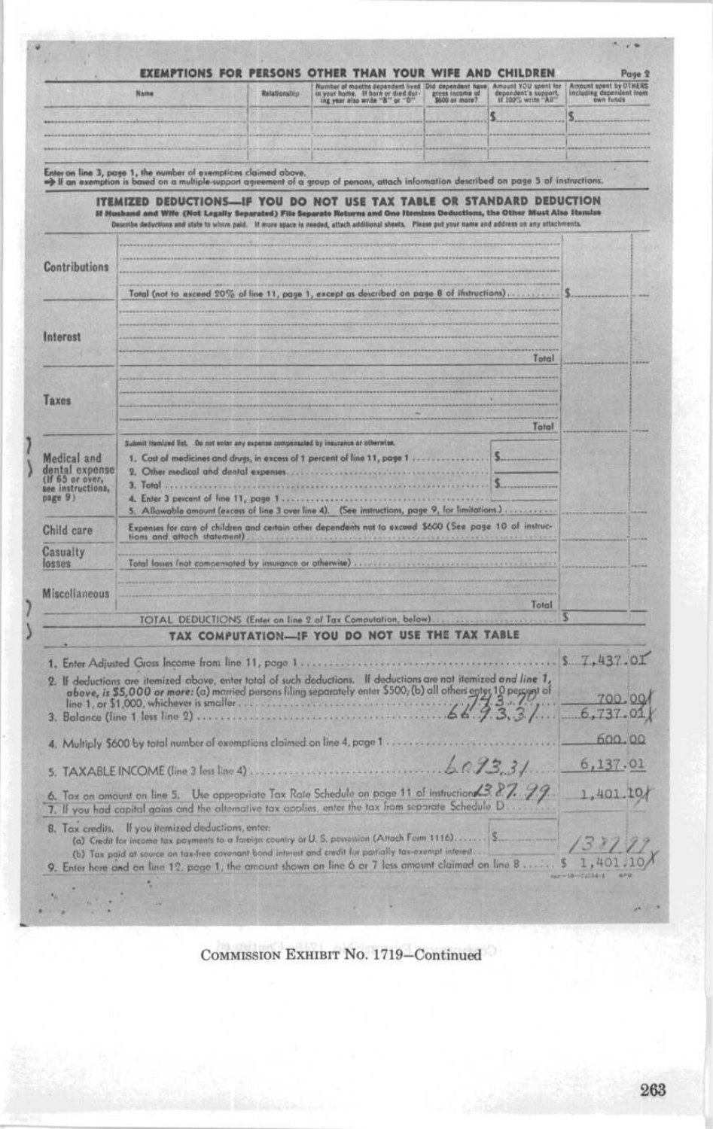| Name                                                   |                                                                                                                                                                                                                                                                                                                                                          | Relationship | Number of months dependent lived Did dependent have<br>in your home. If horn or died dur-<br>ing year also write "8" or "D" - \$600 or more? | Amputt YOU spent for<br>dependent's support.<br>If 100% write "All" | Amount spent by OTHERS<br>including dependent from<br>own funds |  |
|--------------------------------------------------------|----------------------------------------------------------------------------------------------------------------------------------------------------------------------------------------------------------------------------------------------------------------------------------------------------------------------------------------------------------|--------------|----------------------------------------------------------------------------------------------------------------------------------------------|---------------------------------------------------------------------|-----------------------------------------------------------------|--|
|                                                        |                                                                                                                                                                                                                                                                                                                                                          |              |                                                                                                                                              | S.                                                                  | s                                                               |  |
|                                                        |                                                                                                                                                                                                                                                                                                                                                          |              |                                                                                                                                              |                                                                     |                                                                 |  |
|                                                        |                                                                                                                                                                                                                                                                                                                                                          |              |                                                                                                                                              |                                                                     |                                                                 |  |
|                                                        | Enter on line 3, page 1, the number of exemptions claimed above.<br>> Il an exemption is based on a multiple-support agreement of a group of persons, attach information described on page 5 of instructions.                                                                                                                                            |              |                                                                                                                                              |                                                                     |                                                                 |  |
|                                                        | ITEMIZED DEDUCTIONS-IF YOU DO NOT USE TAX TABLE OR STANDARD DEDUCTION<br>If Hushand and Wife (Not Legally Separated) File Separate Returns and One Hemixes Deductions, the Other Must Also Hemixe<br>Describe deductions and state to whom paid. If more space is needed, attach additional sheets. Please put your name and address on any attachments. |              |                                                                                                                                              |                                                                     |                                                                 |  |
|                                                        |                                                                                                                                                                                                                                                                                                                                                          |              |                                                                                                                                              |                                                                     |                                                                 |  |
| Contributions                                          |                                                                                                                                                                                                                                                                                                                                                          |              |                                                                                                                                              |                                                                     |                                                                 |  |
|                                                        | Total (not to axceed 20% of line 11, page 1, except as described on page 8 of instructions)                                                                                                                                                                                                                                                              |              |                                                                                                                                              |                                                                     |                                                                 |  |
|                                                        |                                                                                                                                                                                                                                                                                                                                                          |              |                                                                                                                                              |                                                                     |                                                                 |  |
| Interest                                               |                                                                                                                                                                                                                                                                                                                                                          |              |                                                                                                                                              |                                                                     |                                                                 |  |
|                                                        |                                                                                                                                                                                                                                                                                                                                                          |              |                                                                                                                                              | Total                                                               |                                                                 |  |
|                                                        |                                                                                                                                                                                                                                                                                                                                                          |              |                                                                                                                                              |                                                                     |                                                                 |  |
| Taxes                                                  |                                                                                                                                                                                                                                                                                                                                                          |              |                                                                                                                                              |                                                                     |                                                                 |  |
|                                                        |                                                                                                                                                                                                                                                                                                                                                          |              |                                                                                                                                              | Total                                                               |                                                                 |  |
| Medical and                                            | Submit itemized list. Do not enter any expense compensated by insurance or otherwise.<br>1. Cast of medicines and drugs, in excess of 1 percent of line 11, page 1                                                                                                                                                                                       |              |                                                                                                                                              | s.                                                                  |                                                                 |  |
| dental expense<br>(If 65 or over,<br>see instructions, | 2. Other medical and dental expenses.                                                                                                                                                                                                                                                                                                                    |              |                                                                                                                                              | S.                                                                  |                                                                 |  |
| page 9)                                                | 4. Enter 3 percent of line 11, page 1<br>5. Allowable amount (excess of line 3 over line 4). (See instructions, page 9, for limitations.)                                                                                                                                                                                                                |              |                                                                                                                                              |                                                                     |                                                                 |  |
| Child care                                             | Expenses for care of children and certain other dependents not to exceed \$600 (See page 10 of instruc-<br>tions and attach statement)                                                                                                                                                                                                                   |              |                                                                                                                                              |                                                                     |                                                                 |  |
| Casualty                                               |                                                                                                                                                                                                                                                                                                                                                          |              |                                                                                                                                              |                                                                     |                                                                 |  |
| losses                                                 | Total losses (not compensated by insurance or atherwise)                                                                                                                                                                                                                                                                                                 |              |                                                                                                                                              |                                                                     |                                                                 |  |
| <b>Miscellaneous</b>                                   |                                                                                                                                                                                                                                                                                                                                                          |              |                                                                                                                                              | Total                                                               |                                                                 |  |
|                                                        |                                                                                                                                                                                                                                                                                                                                                          |              | TOTAL DEDUCTIONS (Enter on line 2 of Tax Computation, below).                                                                                |                                                                     |                                                                 |  |
|                                                        |                                                                                                                                                                                                                                                                                                                                                          |              | TAX COMPUTATION-IF YOU DO NOT USE THE TAX TABLE                                                                                              |                                                                     |                                                                 |  |
|                                                        | 1. Enter Adjusted Gross Income from line 11, page 1                                                                                                                                                                                                                                                                                                      |              |                                                                                                                                              |                                                                     | 5, 7, 437, 01                                                   |  |
|                                                        | 2. If deductions are itemized above, enter total of such deductions. If deductions are not itemized and line 1,<br>above, is \$5,000 or more: (a) married persons filing separately enter \$500; (b) all others enter 10 percent of                                                                                                                      |              |                                                                                                                                              |                                                                     |                                                                 |  |
|                                                        |                                                                                                                                                                                                                                                                                                                                                          |              |                                                                                                                                              |                                                                     | 700.00<br>6,737.01                                              |  |
|                                                        |                                                                                                                                                                                                                                                                                                                                                          |              |                                                                                                                                              |                                                                     | 600.00                                                          |  |
|                                                        | 4. Multiply \$600 by total number of exemptions claimed on line 4, page 1                                                                                                                                                                                                                                                                                |              |                                                                                                                                              |                                                                     |                                                                 |  |
|                                                        |                                                                                                                                                                                                                                                                                                                                                          |              |                                                                                                                                              |                                                                     | 6,137.01                                                        |  |
|                                                        | 6. Tax on amount on line 5. Use oppropriate Tax Rate Schedule on page 11 of instruction 3.2.7. 79.<br>7. If you had capital gains and the alternative tax applies, enter the tax from separate Schedule D                                                                                                                                                |              |                                                                                                                                              |                                                                     | 1,401.10                                                        |  |
|                                                        | 8. Tax credits. If you itemized deductions, enter-<br>(a) Credit for income tax payments to a fareign country or U.S. possession (Attach Form 1116) \$                                                                                                                                                                                                   |              |                                                                                                                                              |                                                                     |                                                                 |  |
|                                                        |                                                                                                                                                                                                                                                                                                                                                          |              | (b) Tax paid at source on tax-free covenant bond interest and credit for partially tax-exempt interest                                       |                                                                     |                                                                 |  |

COMMISSION EXHIBIT No. 1719-Continued

ı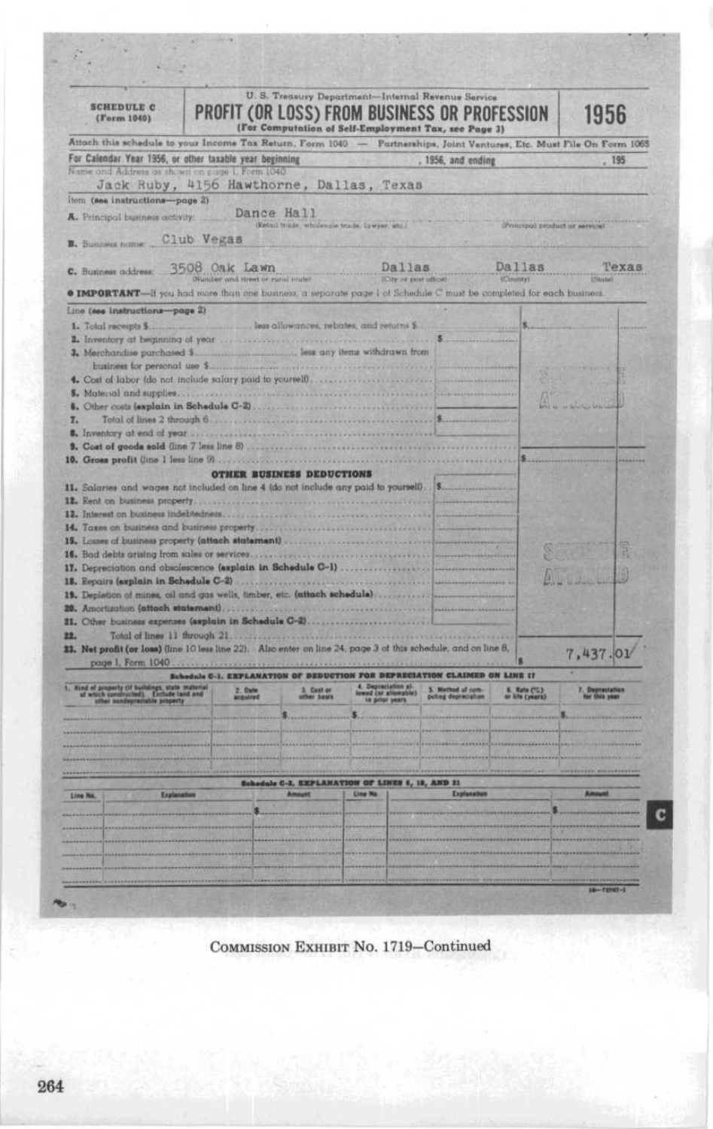| (Form 1040)                                                                                                                                                                                                                                                              | PROFIT (OR LOSS) FROM BUSINESS OR PROFESSION                                  |                                                               | U. S. Treasury Department-Internal Revenue Service<br>(For Computation of Self-Employment Tax, see Page 3) |                    |                                | 1956              |  |
|--------------------------------------------------------------------------------------------------------------------------------------------------------------------------------------------------------------------------------------------------------------------------|-------------------------------------------------------------------------------|---------------------------------------------------------------|------------------------------------------------------------------------------------------------------------|--------------------|--------------------------------|-------------------|--|
| Attoch this schedule to your Income Tax Return, Form 1040 - Partnerships, Joint Ventures, Etc. Must File On Form 1065                                                                                                                                                    |                                                                               |                                                               |                                                                                                            |                    |                                |                   |  |
| For Calendar Year 1956, or other taxable year beginning                                                                                                                                                                                                                  |                                                                               |                                                               |                                                                                                            | . 1956, and ending |                                |                   |  |
| Name and Address as shown on puge 1, Form 1040.                                                                                                                                                                                                                          |                                                                               |                                                               |                                                                                                            |                    |                                |                   |  |
| Jack Ruby, 4156 Hawthorne, Dallas, Texas                                                                                                                                                                                                                                 |                                                                               |                                                               |                                                                                                            |                    |                                |                   |  |
| item (see instructions-page 2)                                                                                                                                                                                                                                           |                                                                               |                                                               |                                                                                                            |                    |                                |                   |  |
| A. Principal business activity:                                                                                                                                                                                                                                          |                                                                               | Dance Hall<br>(ketoni trinde, wholesale trade, lawyer, attr.) |                                                                                                            |                    | iPrincipal product or service) |                   |  |
| B. Business name Club Vegas                                                                                                                                                                                                                                              |                                                                               |                                                               |                                                                                                            |                    |                                |                   |  |
| C. Business address:                                                                                                                                                                                                                                                     | 3508 Oak Lawn<br>Number and street or runni routel                            |                                                               | Dallas<br>(City or post office)                                                                            |                    | Dallas<br>(Clounty)            | Texas<br>(Thiate) |  |
| <b>O IMPORTANT</b> -if you had more than one business, a separate page I of Schedule C must be completed for each business.                                                                                                                                              |                                                                               |                                                               |                                                                                                            |                    |                                |                   |  |
| Line (see instructions-page 2)                                                                                                                                                                                                                                           |                                                                               |                                                               |                                                                                                            |                    |                                |                   |  |
|                                                                                                                                                                                                                                                                          |                                                                               |                                                               |                                                                                                            |                    |                                |                   |  |
|                                                                                                                                                                                                                                                                          |                                                                               |                                                               |                                                                                                            |                    |                                |                   |  |
|                                                                                                                                                                                                                                                                          |                                                                               |                                                               |                                                                                                            |                    |                                |                   |  |
|                                                                                                                                                                                                                                                                          |                                                                               |                                                               |                                                                                                            |                    |                                |                   |  |
| 4. Cost of labor (do not include salary paid to yourself), and according to the control of the control of the control of the control of the control of the control of the control of the control of the control of the control                                           |                                                                               |                                                               |                                                                                                            |                    |                                |                   |  |
|                                                                                                                                                                                                                                                                          |                                                                               |                                                               |                                                                                                            |                    |                                |                   |  |
|                                                                                                                                                                                                                                                                          |                                                                               |                                                               |                                                                                                            |                    |                                |                   |  |
| 7.                                                                                                                                                                                                                                                                       |                                                                               |                                                               |                                                                                                            |                    |                                |                   |  |
|                                                                                                                                                                                                                                                                          |                                                                               |                                                               |                                                                                                            |                    |                                |                   |  |
|                                                                                                                                                                                                                                                                          |                                                                               |                                                               |                                                                                                            |                    |                                |                   |  |
| 14. Toxes on business and business property                                                                                                                                                                                                                              | 17. Depreciation and obsolescence (explain in Schedule C-1)                   |                                                               |                                                                                                            |                    |                                |                   |  |
|                                                                                                                                                                                                                                                                          |                                                                               |                                                               |                                                                                                            |                    |                                |                   |  |
| page 1, Form 1040                                                                                                                                                                                                                                                        |                                                                               |                                                               |                                                                                                            |                    |                                | 7,437.01          |  |
|                                                                                                                                                                                                                                                                          | <b>Sale C-1. EXPLANATION OF DEDUCTION FOR DEPRECIATION CLAIMED ON LINE IT</b> |                                                               |                                                                                                            |                    |                                |                   |  |
|                                                                                                                                                                                                                                                                          | 2.0 <sub>10</sub>                                                             | er hawe                                                       |                                                                                                            |                    | 6. Rato (%)<br>or life (years) |                   |  |
|                                                                                                                                                                                                                                                                          |                                                                               |                                                               |                                                                                                            |                    |                                |                   |  |
|                                                                                                                                                                                                                                                                          |                                                                               |                                                               |                                                                                                            |                    |                                |                   |  |
|                                                                                                                                                                                                                                                                          |                                                                               |                                                               |                                                                                                            |                    |                                |                   |  |
|                                                                                                                                                                                                                                                                          |                                                                               |                                                               |                                                                                                            |                    |                                |                   |  |
|                                                                                                                                                                                                                                                                          |                                                                               |                                                               |                                                                                                            |                    |                                |                   |  |
|                                                                                                                                                                                                                                                                          |                                                                               |                                                               | Schedule C-2, EXPLANATION OF LINES 6, 12, AND 11                                                           |                    |                                |                   |  |
| Explanation                                                                                                                                                                                                                                                              |                                                                               | <b>Amount</b>                                                 | <b>Line No.</b>                                                                                            | Explanation        |                                | <b>Amount</b>     |  |
|                                                                                                                                                                                                                                                                          |                                                                               |                                                               |                                                                                                            |                    |                                |                   |  |
|                                                                                                                                                                                                                                                                          |                                                                               |                                                               |                                                                                                            |                    |                                |                   |  |
| 19. Depistion of mines, oil and gas wells, timber, etc. (attach schedule)<br>21. Other business expenses (explain in Schedule C-2)<br>22.<br>23. Net profit (or loss) (line 10 less line 22). Also enter on line 24, page 3 of this schedule, and on line 8,<br>Line No. |                                                                               |                                                               |                                                                                                            |                    |                                |                   |  |
|                                                                                                                                                                                                                                                                          |                                                                               |                                                               |                                                                                                            |                    |                                |                   |  |
|                                                                                                                                                                                                                                                                          |                                                                               |                                                               |                                                                                                            |                    |                                |                   |  |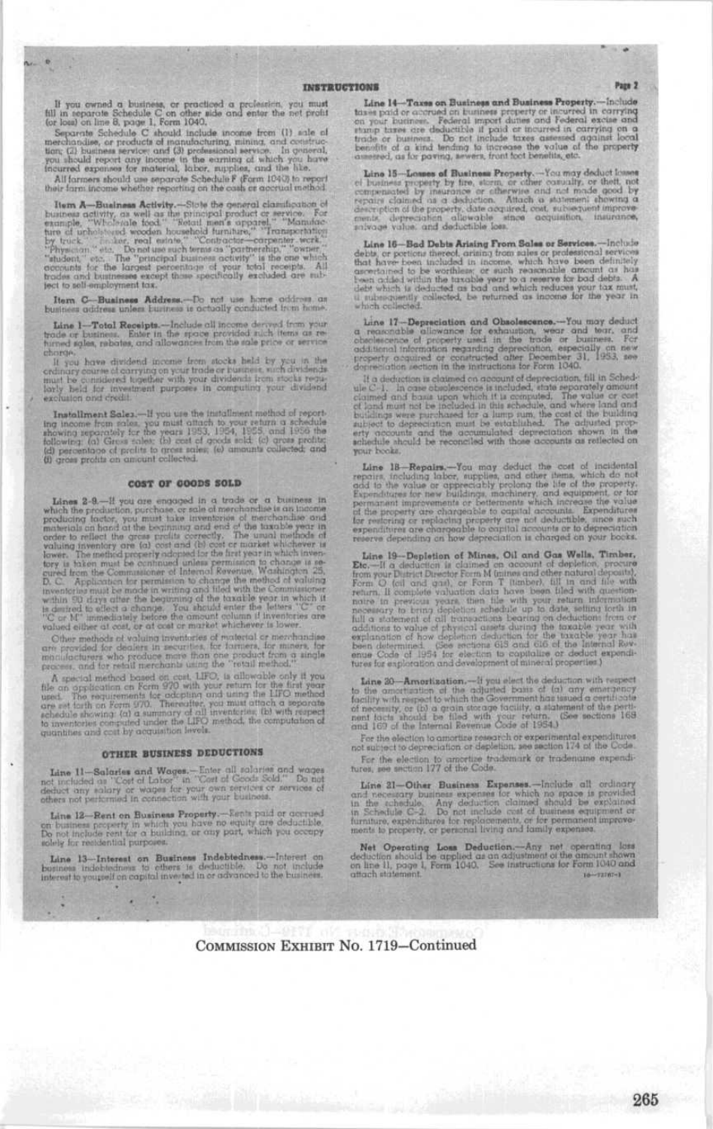×

If you ewand a business, or proclined a profession, you must full in separate Schedule C on other side and enter the net profit (or local on line 8, page 1, form 1040, separate Schedule C should include income from (1) sa

Them A—Business Activity.—Size the quereral classical conduction of business activity, as well as the primippal product or service. For example, "Wallows have the conduction of the primip of the primip of the primip of th

Item C-Business Address.-- Do not use home oddress on business address unless business is actually conducted from home.

Line 1-Total Receipts.-Include all income derived from your<br>trade or business. Eater in the space provided such items as re-<br>turned sples, rabates, and allowances from the sale price or service phrings

charge. In you have dividend income from stocks held by you in the ordinary osume of corrying on your trade or business, such dividends in matches the pair law of the considered in the considered in the case of the local p fusion and credit

Installment Sales.—If you use the installment method of reporting in<br>come from sides, you must others, it is schedule in<br>bound a schedule in the space and  $\alpha$  is<br> $\beta$  in the schedule in the schedule in the following. (a)

#### COST OF GOODS SOLD

CONT OF COURS DURB TOWERS TO CONTROLLED THE SURFACE IN Which the production provides or stall of more<br>handle of a business in which the production prochease or stall of more<br>handles is easy proportional model at the local

Other methods of valuing inventories of material or merchandise are provided for density and passuring the product of material or manufactures. We farmer, the product from a ningle process, and for retail methods using th

A special method based on cost, LIFO, is call<br>weake only it you the on oppification on Form 970 with your return for the first year the<br>contradictor of the first year and the LIFO method with the second<br>respect to the sec

### OTHER BUSINESS DEDUCTIONS

Line 11-Salaries and Wages.<br>-- Enter all solaries and wages not included as "Cost of Labor" in "Cost of Goods Sold," Do not declare that you are approximated that the other of the other of the other and point our analysis

Line 12—Rent on Business Property.—Rent paid or occured on business property in which you have no equity are deductible. Do not include rent for a building, or our part, which you occupy dollar relationship proposes.

 $\begin{tabular}{ll} Line & Bi-Internet on\\ \hline \textbf{B} is the number of the two-dimensional \\ \textbf{B} is the number of the two variables.\\ \hline \end{tabular} \begin{tabular}{ll} \textbf{D} is the number of the two variables.\\ \hline \end{tabular} \begin{tabular}{ll} \textbf{D} is the number of the two variables.\\ \hline \end{tabular}$ 

Line 14—Taxes on Business and Business Property.—Include taxes paid or caterard in business property or incurred in corrying on pour business. Federal import during and Federal excite and the transport during the space of

Line 16—Bod Debts Ariaing From Sales or Services.—Include that have been continued in the proposition of the that have been uncluded in income, which have been definitely meet<br>that have been uncluded in income, which have

Line 17-Depreciation and Obsolescence.<br>---You may deduct a reaccordible coloration of  $\alpha$  extraoution, we<br>or and tore, and coloration of coloration of conductional information regarding depreciation, especially on new pr

degree<br>catter as celon in claimed on account of depreciation, fail in Schedule<br> $\mathcal{C}$ , it is deduction in claimed on account of depreciation, fail in Schedule<br> $\mathcal{C}$ , in case classify special is included, strike separ your books

Line 18—Repairs,—Tou may deduct the cost of incidental repoirs, including labor, supplies, and other them, which do not ded to the accelerativy prolong the life of the property. percenting Equation is the control of the p

Line 19–Depletion of Mines, Oil and Gas Wells, Timber, Die, –11 a disturbin of Mines, Oil and Gas Wells, Timber, Dec. –11 a disturbin provide the match dependent, precure from Die and one count of the match of the princip

Line 30—Amerika<br/>ation.—If you shed the deduction with respect to the one-strained refer<br/>to the deduction of the localized basis of the most state<br/>in the contribution of measurement has basis of the contributio

For the election to amortize research or experimental expenditures<br>not subject to depreciation or depletion, see section 174 of the Code For the election to america trademark or trademane expenditures, see section 177 of the Code.

Line 21—Other, Business Expanses.—Include all ordinary and researchy business completes the space of the space of the space of the space of the space of the space of the space of the space of the space of the space of the

Net Operating Loss Deduction.—Any net operating loss deduction should be applied as an adjustment of the amount shown on line 11, page 4, Form 1040. See instructions for Form 1040 and other has near 1040.

COMMISSION EXHIBIT No. 1719-Continued

Page 2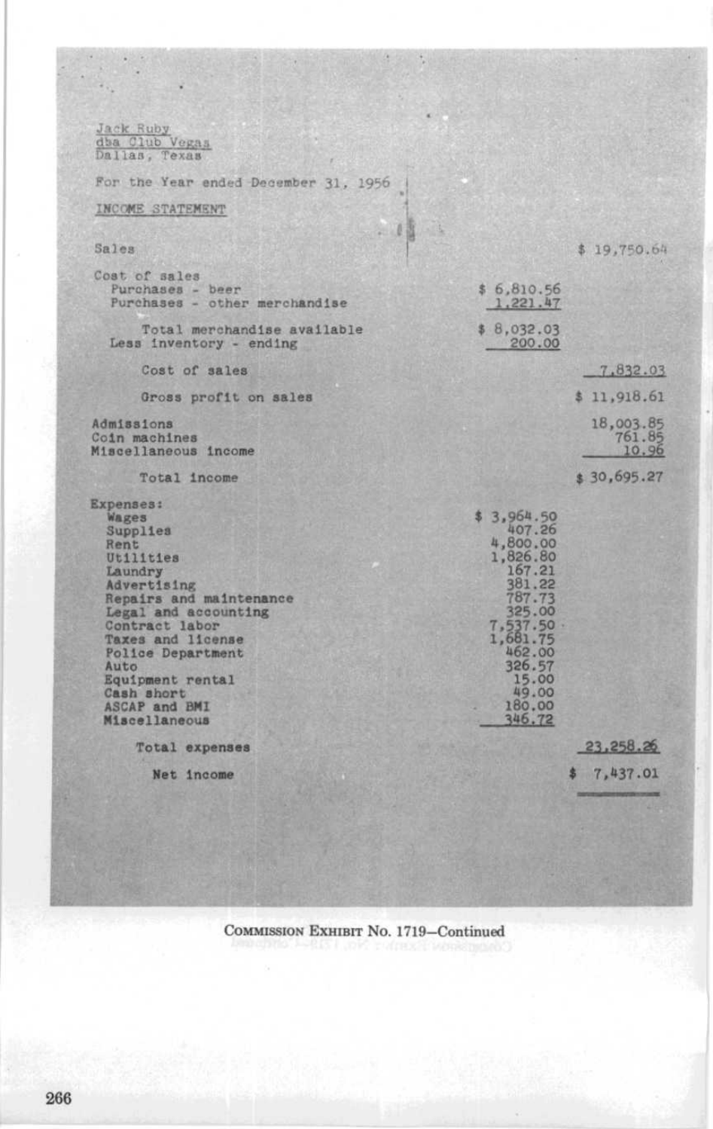Jack Ruby<br>dha Club Vegas<br>Dallas, Texas For the Year ended December 31, 1956 INCOME STATEMENT  $\frac{1}{2}$ Sales  $$19,750.64$ Cost of sales \$ 6,810 .56 Purchases - beer Purchases - other merchandise 1-221-47 \$ 8,032 .03 Total merchandise available Less inventory - ending 200 .00 Cost of sales 7,832) .03 Gross profit on sales \$ 11,918 .61 Admissions 18,003 .85 761 .85 Coin machines 10.96 Miscellaneous income \$ 30,695 .27 Total income Expenses : Wages \$ 3,964 .50 Supplies 407 .26 4,800 .00 Rent 1,826 .80 Utilities 167 .21 Laundry Advertising 381 .22 Repairs and maintenance 787 .73 325 .00 7,537 .50 1,681 .75 Legal and accounting Contract labor Taxes and license Police Department 462.00<br>326.57 Auto 326.57<br>
Equipment rental 15.00<br>
15.00 Cash short 49.00 ASCAP and BMI 180.00<br>
Miscellaneous 346.72 23,258 .26 Total expenses Net Income \$ 7,437 .01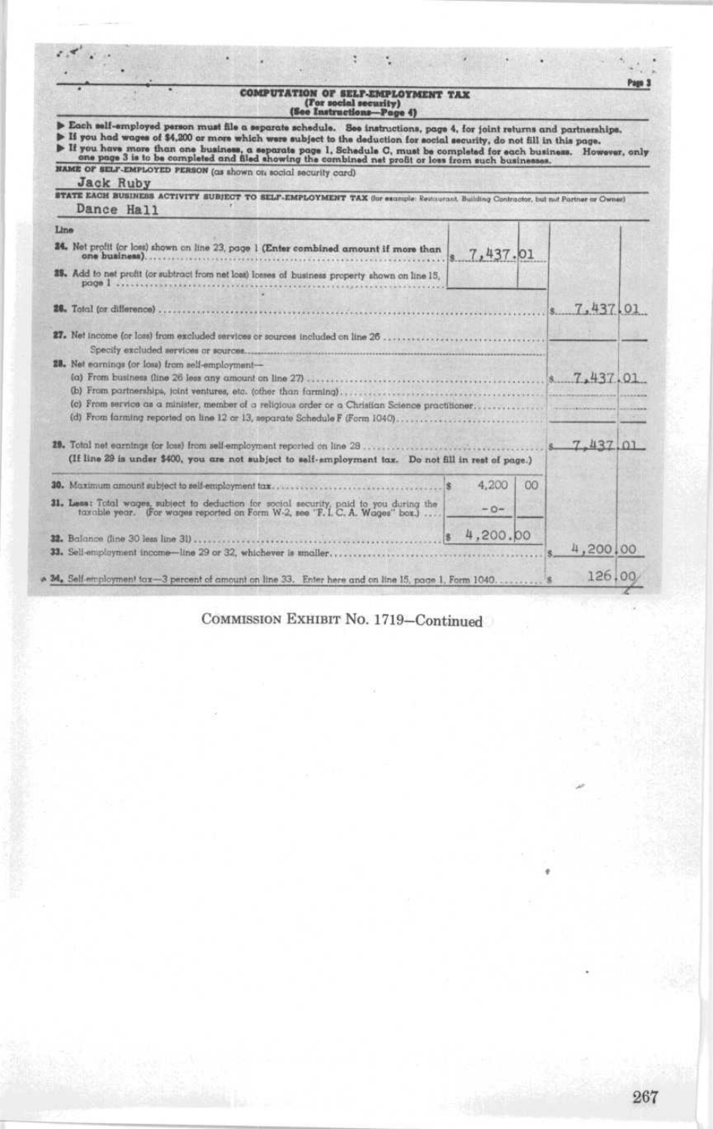|  | <b>OMPUTATION OF SELF-EMPLOYMENT TAX</b> |  |
|--|------------------------------------------|--|
|  | (For social security)                    |  |
|  | (See Instructions-Page 4)                |  |

e

|      | Each self-employed person must file a separate schedule. See instructions, page 4, for joint returns and partnerships.<br>If you had wages of \$4,200 or more which were subject to the deduction for social security, do not fill in this page.<br>If you have more than one business, a separate page 1, Schedule C, must be completed for each business. However, only<br>one page 3 is to be completed and filed showing the combined net profit or loss from such businesses. |          |    |          |  |
|------|------------------------------------------------------------------------------------------------------------------------------------------------------------------------------------------------------------------------------------------------------------------------------------------------------------------------------------------------------------------------------------------------------------------------------------------------------------------------------------|----------|----|----------|--|
|      | NAME OF SELF-EMPLOYED PERSON (as shown on social security card)                                                                                                                                                                                                                                                                                                                                                                                                                    |          |    |          |  |
|      | <b>Jack Ruby</b><br>STATE EACH BUSINESS ACTIVITY SUBJECT TO SELF-EMPLOYMENT TAX (for example: Restaurant, Building Contractor, but not Partner or Owner)                                                                                                                                                                                                                                                                                                                           |          |    |          |  |
|      | Dance Hall                                                                                                                                                                                                                                                                                                                                                                                                                                                                         |          |    |          |  |
| Line |                                                                                                                                                                                                                                                                                                                                                                                                                                                                                    |          |    |          |  |
|      | 24. Net profit (or loss) shown on line 23, page 1 (Enter combined amount if more than<br>one business).                                                                                                                                                                                                                                                                                                                                                                            | 7,437.01 |    |          |  |
|      | 35. Add to net profit (or subtract from net loss) losses of business property shown on line 15,<br>page 1.                                                                                                                                                                                                                                                                                                                                                                         |          |    |          |  |
|      | 26. Total (or difference).                                                                                                                                                                                                                                                                                                                                                                                                                                                         |          |    | 7,437,01 |  |
|      |                                                                                                                                                                                                                                                                                                                                                                                                                                                                                    |          |    |          |  |
|      | 28. Net earnings (or loss) from self-employment-                                                                                                                                                                                                                                                                                                                                                                                                                                   |          |    |          |  |
|      | (If line 29 is under \$400, you are not subject to self-employment tax. Do not fill in rest of page.)                                                                                                                                                                                                                                                                                                                                                                              |          |    | 7,437,01 |  |
|      | 30. Maximum amount subject to self-employment tax                                                                                                                                                                                                                                                                                                                                                                                                                                  | 4.200    | 00 |          |  |
|      | 31. Less: Total wages, subject to deduction for social security, paid to you during the taxable year. (For wages reported on Form W-2, see 'F. I. C. A. Wages' box.)                                                                                                                                                                                                                                                                                                               | $-0-$    |    |          |  |
|      | 32. Balance (line 30 leas line 31)                                                                                                                                                                                                                                                                                                                                                                                                                                                 | 4,200,00 |    |          |  |
|      | 33. Self-employment income-line 29 or 32, whichever is unaller                                                                                                                                                                                                                                                                                                                                                                                                                     |          |    | 4,200,00 |  |
|      | M. Self-employment tox-3 percent of amount on line 33. Enter here and on line 15, page 1, Form 1040                                                                                                                                                                                                                                                                                                                                                                                |          |    | 126,00   |  |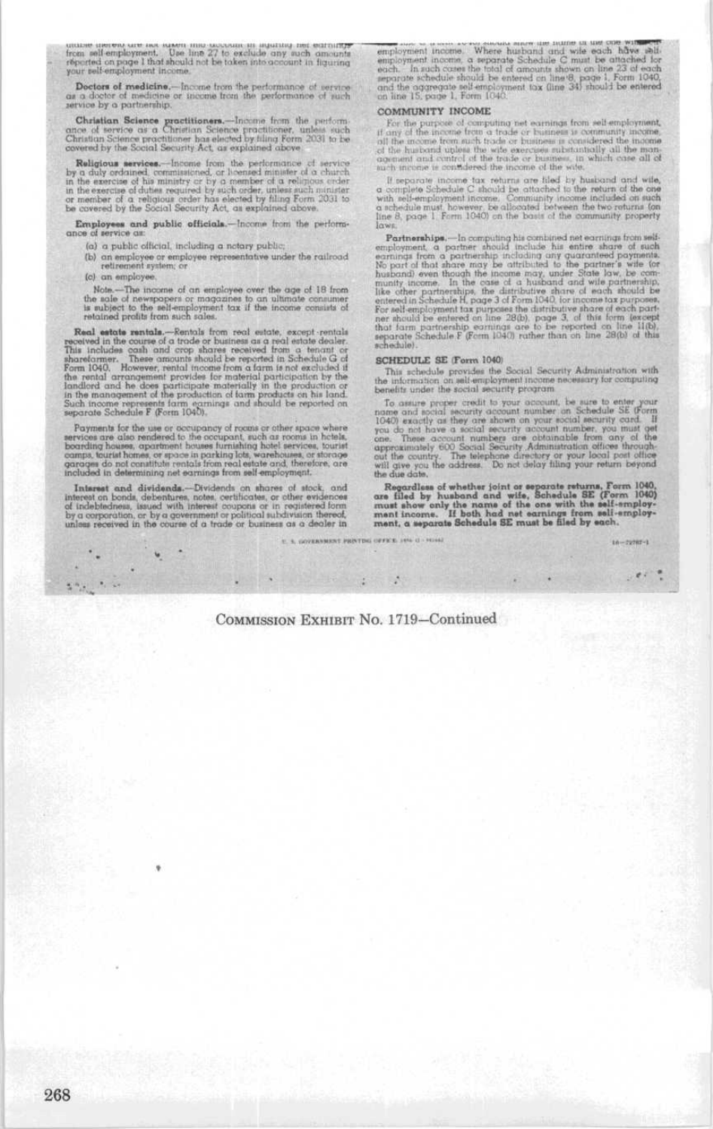make merels are not sused one occupant in againing net earnings<br>from self-employment. Use line 27 to exclude any such amounts<br>reported on page 1 that should not be taken into account in figuring<br>your self-employment income

**Doctors of medicine.**—Income from the performance of service  $\alpha$  doctor of medicine or income from the performance of such rivice by a partnership.

Christian Science practitioners.—Income from the perform case of service as a Christian Science practitioner has elected by filing form 2031 to be covered by the Social Security Act, as explained above.

 $\begin{tabular}{p{0.875\textwidth}} \textbf{Religious services.}-Income from the performance of service by a duty ordinal estimated, or linearization and the exercise of his matrix or by a member of a religions order in the exercise of data requires a bary as the order of a religions order to measure of a relation. The number of a relation is the second point. The number of a relation is the covered by the Social Security Act, an explanation done. \end{tabular}$ 

Employees and public officials.-Income from the perform-

- (a) a public official, including a notary public;
- (b) on employee or employee representative under the railroad retirement system; or

(c) an employee.

Note....-The income of an employee over the age of 18 from<br>the sale of newspopers or magazines to an ultimate consumer<br>is aubject to the self-employment tax if the income consists of<br>relating to the self-employment tax if

For the solution of the couple of the control of the second state and state and the control of the control of the control of the second state dealer. This includes can an order of the control of the second state shared me

Payments for the use or occupancy of rooms or other space where beer<br>con are also rendered to the occupant, such as rooms in hele<br>la. boarding bouses, oper<br>freed to the occupant, such as rooms in hele<br>la. cannot bound bou

 $\begin{tabular}{p{0.875\textwidth}} \bf{In the rest and dividends.}-Dividends on shares of stock, and interested on both, dobend, a certain event, and of independent, is used with interest component or in registered form by a congruence, is used with interest component or in restricted form by a convergent, or by a given number of public subdivision therefore by a linear section in the course of a trade or boundaries of an object in the context of a trade or butinens as a dealer in the case of a trace of a triangle. \end{tabular}$ 

 $\mathbf{u}$ 

employment income. Where an<br>evaluation is made one will estimate a employment income, a separate Schedule C must be attached for<br>each. In such cases the total of amounts shown on line 23 of each<br>separate schedule should b

## COMMUNITY INCOME

Container 1 Theorem and computing the exertings from self-simpleyment, if any climate the account from the detect and the state of the more from and the more of the more of the more of the more of the more of the more of t

If a<br>sparate income tax returns are filed by busisind and wife,<br> $\alpha$  complete Schedule C should be attached to the return of the one with self-employment incomes. Community income included on such a cabedule must however,

leave, <br>Partnerships, —In computing his combined net ecrriting from self-<br>employment, a partner should include his entire share of such enrings from a partner<br>should include his entire share of such a partners are compute

#### SCHEDULE SE (Form 1040)

SCHEDULE SE If provides the Social Security Administration with<br>the information on self-employment income necessary for computing<br>benefits under the social security program

communication in sociality program. The same to enter your mome and noticit security decount number on Schedule SE (form 1040) exactly as they are about on your security cond. If you do not hove a noticial escrity account

Regardless of whether joint or separate returns, Form 1040, are filed by husband and wife, Schedule SE (Form 1040) must show only the name of the one with the self-employment income. If both had net cannings from self-emp

 $16 - 79767 - 1$ 

 $100<10$